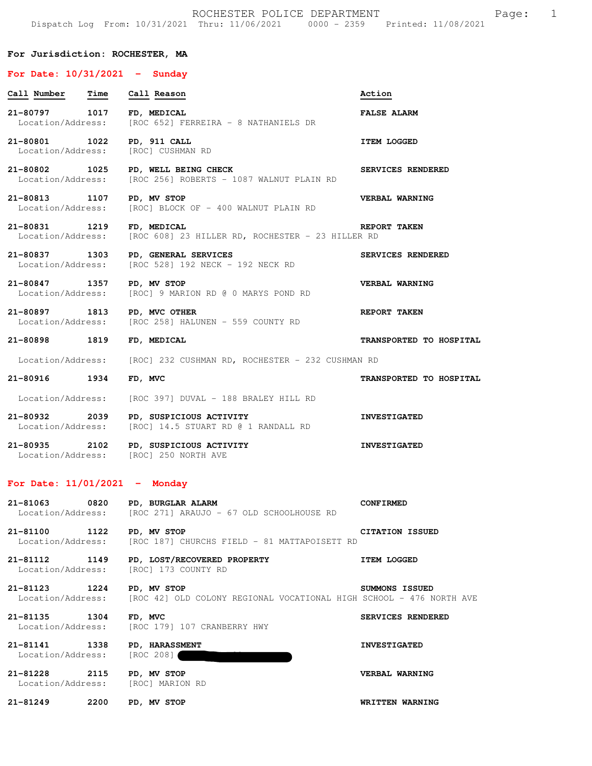## **For Jurisdiction: ROCHESTER, MA**

## **For Date: 10/31/2021 - Sunday**

| Call Number Time                   |      | Call Reason                                                                      | Action                  |
|------------------------------------|------|----------------------------------------------------------------------------------|-------------------------|
| 21-80797 1017<br>Location/Address: |      | FD, MEDICAL<br>[ROC 652] FERREIRA - 8 NATHANIELS DR                              | <b>FALSE ALARM</b>      |
| 21-80801 1022<br>Location/Address: |      | PD, 911 CALL<br>[ROC] CUSHMAN RD                                                 | <b>ITEM LOGGED</b>      |
| 21-80802 1025<br>Location/Address: |      | PD, WELL BEING CHECK<br>[ROC 256] ROBERTS - 1087 WALNUT PLAIN RD                 | SERVICES RENDERED       |
| 21-80813 1107<br>Location/Address: |      | PD, MV STOP<br>[ROC] BLOCK OF - 400 WALNUT PLAIN RD                              | VERBAL WARNING          |
| 21-80831 1219<br>Location/Address: |      | FD, MEDICAL<br>[ROC 608] 23 HILLER RD, ROCHESTER - 23 HILLER RD                  | REPORT TAKEN            |
| 21-80837 1303<br>Location/Address: |      | PD, GENERAL SERVICES<br>[ROC 528] 192 NECK - 192 NECK RD                         | SERVICES RENDERED       |
| 21-80847 1357<br>Location/Address: |      | PD, MV STOP<br>[ROC] 9 MARION RD @ 0 MARYS POND RD                               | VERBAL WARNING          |
| 21-80897 1813<br>Location/Address: |      | PD, MVC OTHER<br>[ROC 258] HALUNEN - 559 COUNTY RD                               | REPORT TAKEN            |
| 21-80898 1819                      |      | FD, MEDICAL                                                                      | TRANSPORTED TO HOSPITAL |
|                                    |      | Location/Address: [ROC] 232 CUSHMAN RD, ROCHESTER - 232 CUSHMAN RD               |                         |
| 21-80916 1934                      |      | FD, MVC                                                                          | TRANSPORTED TO HOSPITAL |
| Location/Address:                  |      | [ROC 397] DUVAL - 188 BRALEY HILL RD                                             |                         |
| 21-80932 2039                      |      | PD, SUSPICIOUS ACTIVITY<br>Location/Address: [ROC] 14.5 STUART RD @ 1 RANDALL RD | <b>INVESTIGATED</b>     |
| 21-80935                           | 2102 | PD, SUSPICIOUS ACTIVITY<br>Location/Address: [ROC] 250 NORTH AVE                 | <b>INVESTIGATED</b>     |
| For Date: $11/01/2021$ - Monday    |      |                                                                                  |                         |
| 21-81063                           | 0820 | PD, BURGLAR ALARM                                                                | <b>CONFIRMED</b>        |

 Location/Address: [ROC 271] ARAUJO - 67 OLD SCHOOLHOUSE RD 21-81100 1122 PD, MV STOP **CITATION ISSUED**<br>Location/Address: [ROC 187] CHURCHS FIELD - 81 MATTAPOISETT RD [ROC 187] CHURCHS FIELD - 81 MATTAPOISETT RD

**21-81112 1149 PD, LOST/RECOVERED PROPERTY ITEM LOGGED**  Location/Address: [ROC] 173 COUNTY RD

**21-81123 1224 PD, MV STOP SUMMONS ISSUED**  Location/Address: [ROC 42] OLD COLONY REGIONAL VOCATIONAL HIGH SCHOOL - 476 NORTH AVE

**21-81135 1304 FD, MVC SERVICES RENDERED**  Location/Address: [ROC 179] 107 CRANBERRY HWY

**21-81141 1338 PD, HARASSMENT INVESTIGATED**  Location/Address: [ROC 208]

**21-81228 2115 PD, MV STOP VERBAL WARNING**  Location/Address: [ROC] MARION RD

**21-81249 2200 PD, MV STOP WRITTEN WARNING**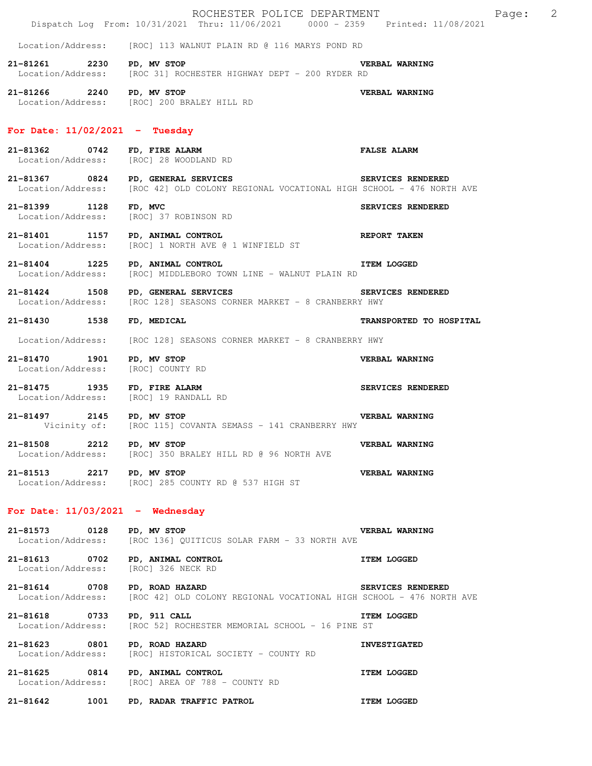|                                                    | ROCHESTER POLICE DEPARTMENT<br>Dispatch Log From: 10/31/2021 Thru: 11/06/2021 0000 - 2359 Printed: 11/08/2021                                    | $\overline{\phantom{0}}^2$<br>Page: |  |
|----------------------------------------------------|--------------------------------------------------------------------------------------------------------------------------------------------------|-------------------------------------|--|
|                                                    | Location/Address: [ROC] 113 WALNUT PLAIN RD @ 116 MARYS POND RD                                                                                  |                                     |  |
| 21-81261 2230                                      | PD, MV STOP<br>Location/Address: [ROC 31] ROCHESTER HIGHWAY DEPT - 200 RYDER RD                                                                  | VERBAL WARNING                      |  |
| 21-81266 2240 PD, MV STOP                          | Location/Address: [ROC] 200 BRALEY HILL RD                                                                                                       | VERBAL WARNING                      |  |
| For Date: $11/02/2021$ - Tuesday                   |                                                                                                                                                  |                                     |  |
| 21-81362 0742                                      | FD, FIRE ALARM<br>Location/Address: [ROC] 28 WOODLAND RD                                                                                         | <b>FALSE ALARM</b>                  |  |
|                                                    | SERVICES RENDERED<br>21-81367 0824 PD, GENERAL SERVICES<br>Location/Address: [ROC 42] OLD COLONY REGIONAL VOCATIONAL HIGH SCHOOL - 476 NORTH AVE |                                     |  |
| 21-81399 1128                                      | FD, MVC<br>Location/Address: [ROC] 37 ROBINSON RD                                                                                                | SERVICES RENDERED                   |  |
|                                                    | 21-81401 1157 PD, ANIMAL CONTROL                                                                                                                 | <b>REPORT TAKEN</b>                 |  |
| 21-81404 1225                                      | <b>ITEM LOGGED</b><br>PD, ANIMAL CONTROL<br>Location/Address: [ROC] MIDDLEBORO TOWN LINE - WALNUT PLAIN RD                                       |                                     |  |
| 21-81424 1508                                      | SERVICES RENDERED<br>PD, GENERAL SERVICES<br>Location/Address: [ROC 128] SEASONS CORNER MARKET - 8 CRANBERRY HWY                                 |                                     |  |
| 21-81430 1538                                      | FD, MEDICAL                                                                                                                                      | TRANSPORTED TO HOSPITAL             |  |
| Location/Address:                                  | [ROC 128] SEASONS CORNER MARKET - 8 CRANBERRY HWY                                                                                                |                                     |  |
| 21-81470 1901<br>Location/Address: [ROC] COUNTY RD | PD, MV STOP                                                                                                                                      | VERBAL WARNING                      |  |
| 21-81475 1935 FD, FIRE ALARM                       | Location/Address: [ROC] 19 RANDALL RD                                                                                                            | SERVICES RENDERED                   |  |
| 21-81497 2145 PD, MV STOP                          | Vicinity of: [ROC 115] COVANTA SEMASS - 141 CRANBERRY HWY                                                                                        | VERBAL WARNING                      |  |
| 21-81508 2212 PD, MV STOP                          | Location/Address: [ROC] 350 BRALEY HILL RD @ 96 NORTH AVE                                                                                        | <b>VERBAL WARNING</b>               |  |
| 21-81513 2217 PD, MV STOP                          | Location/Address: [ROC] 285 COUNTY RD @ 537 HIGH ST                                                                                              | VERBAL WARNING                      |  |
| For Date: $11/03/2021$ - Wednesday                 |                                                                                                                                                  |                                     |  |
| 21-81573 0128                                      | PD, MV STOP<br>Location/Address: [ROC 136] QUITICUS SOLAR FARM - 33 NORTH AVE                                                                    | VERBAL WARNING                      |  |
|                                                    | 21-81613 0702 PD, ANIMAL CONTROL<br>Location/Address: [ROC] 326 NECK RD                                                                          | ITEM LOGGED                         |  |
| 21-81614 0708<br>Location/Address:                 | SERVICES RENDERED<br>PD, ROAD HAZARD<br>[ROC 42] OLD COLONY REGIONAL VOCATIONAL HIGH SCHOOL - 476 NORTH AVE                                      |                                     |  |
| 21-81618 0733                                      | PD, 911 CALL<br>Location/Address: [ROC 52] ROCHESTER MEMORIAL SCHOOL - 16 PINE ST                                                                | <b>ITEM LOGGED</b>                  |  |
| 21-81623 0801<br>Location/Address:                 | PD, ROAD HAZARD<br>[ROC] HISTORICAL SOCIETY - COUNTY RD                                                                                          | <b>INVESTIGATED</b>                 |  |
| 21-81625 0814                                      | PD, ANIMAL CONTROL<br>Location/Address: [ROC] AREA OF 788 - COUNTY RD                                                                            | <b>ITEM LOGGED</b>                  |  |
| 21-81642<br>1001                                   | PD, RADAR TRAFFIC PATROL                                                                                                                         | <b>ITEM LOGGED</b>                  |  |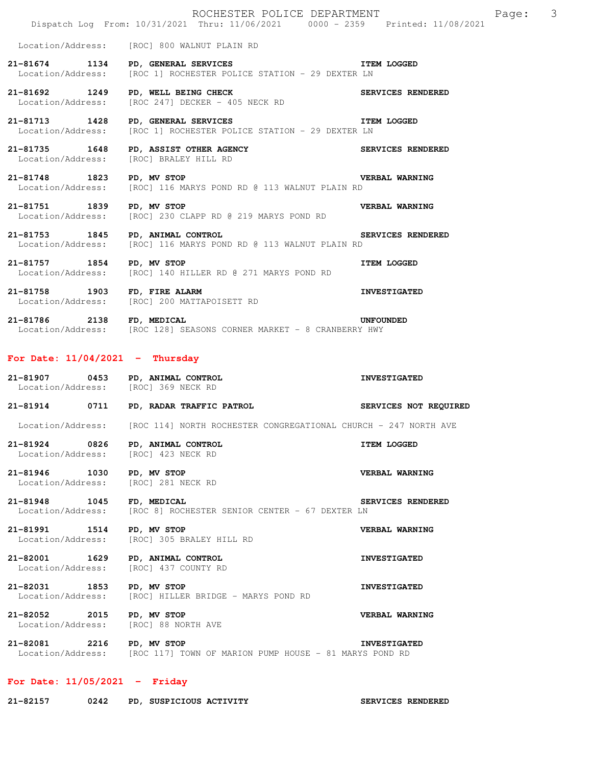|                                                                         | ROCHESTER POLICE DEPARTMENT<br>Dispatch Log From: 10/31/2021 Thru: 11/06/2021 0000 - 2359 Printed: 11/08/2021 | 3<br>Page:            |
|-------------------------------------------------------------------------|---------------------------------------------------------------------------------------------------------------|-----------------------|
|                                                                         | Location/Address: [ROC] 800 WALNUT PLAIN RD                                                                   |                       |
| 21-81674 1134 PD, GENERAL SERVICES                                      | ITEM LOGGED<br>Location/Address: [ROC 1] ROCHESTER POLICE STATION - 29 DEXTER LN                              |                       |
| 21-81692 1249                                                           | 21-81692 1249 PD, WELL BEING CHECK<br>Location/Address: [ROC 247] DECKER - 405 NECK RD                        | SERVICES RENDERED     |
| 21-81713 1428 PD, GENERAL SERVICES                                      | ITEM LOGGED<br>Location/Address: [ROC 1] ROCHESTER POLICE STATION - 29 DEXTER LN                              |                       |
| 21-81735 1648                                                           | PD, ASSIST OTHER AGENCY<br>[ROC] BRALEY HILL RD<br>Location/Address: [ROC] BRALEY HILL RD                     |                       |
| 21-81748 1823 PD, MV STOP                                               | <b>VERBAL WARNING</b><br>Location/Address: [ROC] 116 MARYS POND RD @ 113 WALNUT PLAIN RD                      |                       |
| 21-81751 1839                                                           | PD, MV STOP<br>Location/Address: [ROC] 230 CLAPP RD @ 219 MARYS POND RD                                       | <b>VERBAL WARNING</b> |
| 21-81753 1845 PD, ANIMAL CONTROL                                        | SERVICES RENDERED<br>Location/Address: [ROC] 116 MARYS POND RD @ 113 WALNUT PLAIN RD                          |                       |
| 21-81757 1854 PD, MV STOP                                               | Location/Address: [ROC] 140 HILLER RD @ 271 MARYS POND RD                                                     | <b>ITEM LOGGED</b>    |
| 21-81758 1903 FD, FIRE ALARM                                            | Location/Address: [ROC] 200 MATTAPOISETT RD                                                                   | <b>INVESTIGATED</b>   |
| 21-81786 2138 FD, MEDICAL                                               |                                                                                                               | <b>UNFOUNDED</b>      |
|                                                                         | Location/Address: [ROC 128] SEASONS CORNER MARKET - 8 CRANBERRY HWY                                           |                       |
| For Date: $11/04/2021$ - Thursday                                       |                                                                                                               |                       |
| 21-81907 0453 PD, ANIMAL CONTROL<br>Location/Address: [ROC] 369 NECK RD |                                                                                                               | <b>INVESTIGATED</b>   |
| 21-81914<br>0711                                                        | PD, RADAR TRAFFIC PATROL <b>AREA</b> SERVICES NOT REQUIRED                                                    |                       |
|                                                                         | Location/Address: [ROC 114] NORTH ROCHESTER CONGREGATIONAL CHURCH - 247 NORTH AVE                             |                       |
| 21-81924 0826<br>Location/Address:                                      | PD, ANIMAL CONTROL<br>[ROC] 423 NECK RD                                                                       | <b>ITEM LOGGED</b>    |
| 21-81946 1030<br>Location/Address:                                      | PD, MV STOP<br>[ROC] 281 NECK RD                                                                              | VERBAL WARNING        |
| 21-81948 1045<br>Location/Address:                                      | FD, MEDICAL<br>[ROC 8] ROCHESTER SENIOR CENTER - 67 DEXTER LN                                                 | SERVICES RENDERED     |
| 21-81991 1514<br>Location/Address:                                      | PD, MV STOP<br>[ROC] 305 BRALEY HILL RD                                                                       | VERBAL WARNING        |
| 21-82001 1629<br>Location/Address:                                      | PD, ANIMAL CONTROL<br>[ROC] 437 COUNTY RD                                                                     | <b>INVESTIGATED</b>   |
| 21-82031 1853<br>Location/Address:                                      | PD, MV STOP<br>[ROC] HILLER BRIDGE - MARYS POND RD                                                            | <b>INVESTIGATED</b>   |
| 21-82052 2015<br>Location/Address:                                      | PD, MV STOP<br>[ROC] 88 NORTH AVE                                                                             | VERBAL WARNING        |

## **For Date: 11/05/2021 - Friday**

**21-82157 0242 PD, SUSPICIOUS ACTIVITY SERVICES RENDERED**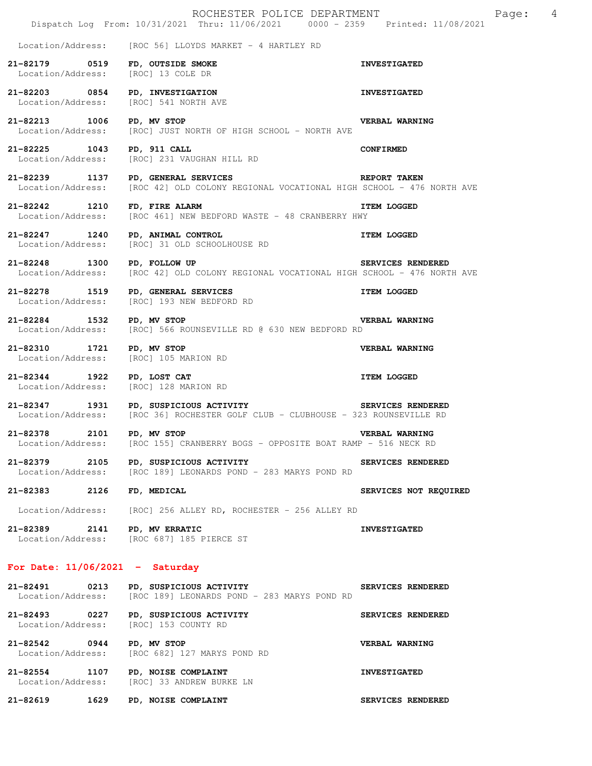|                                                                       | ROCHESTER POLICE DEPARTMENT<br>Dispatch Log From: 10/31/2021 Thru: 11/06/2021 0000 - 2359 Printed: 11/08/2021                              |                       | Page: | 4 |
|-----------------------------------------------------------------------|--------------------------------------------------------------------------------------------------------------------------------------------|-----------------------|-------|---|
|                                                                       | $Location/Address:$ [ROC 56] $LLOYDS$ MARKET - 4 HARTLEY RD                                                                                |                       |       |   |
| 21-82179 0519 FD, OUTSIDE SMOKE<br>Location/Address: [ROC] 13 COLE DR |                                                                                                                                            | <b>INVESTIGATED</b>   |       |   |
| Location/Address: [ROC] 541 NORTH AVE                                 | 21-82203 0854 PD, INVESTIGATION                                                                                                            | <b>INVESTIGATED</b>   |       |   |
| 21-82213 1006 PD, MV STOP                                             | Location/Address: [ROC] JUST NORTH OF HIGH SCHOOL - NORTH AVE                                                                              | <b>VERBAL WARNING</b> |       |   |
| 21-82225 1043 PD, 911 CALL                                            | Location/Address: [ROC] 231 VAUGHAN HILL RD                                                                                                | <b>CONFIRMED</b>      |       |   |
| 21-82239 1137<br>Location/Address:                                    | REPORT TAKEN<br>PD, GENERAL SERVICES<br>[ROC 42] OLD COLONY REGIONAL VOCATIONAL HIGH SCHOOL - 476 NORTH AVE                                |                       |       |   |
| 21-82242 1210<br>Location/Address:                                    | FD, FIRE ALARM<br>[ROC 461] NEW BEDFORD WASTE - 48 CRANBERRY HWY                                                                           | <b>ITEM LOGGED</b>    |       |   |
| 21-82247 1240<br>Location/Address:                                    | PD, ANIMAL CONTROL<br>[ROC] 31 OLD SCHOOLHOUSE RD                                                                                          | <b>ITEM LOGGED</b>    |       |   |
| 21-82248 1300 PD, FOLLOW UP                                           | Location/Address: [ROC 42] OLD COLONY REGIONAL VOCATIONAL HIGH SCHOOL - 476 NORTH AVE                                                      | SERVICES RENDERED     |       |   |
| 21-82278 1519 PD, GENERAL SERVICES                                    | Location/Address: [ROC] 193 NEW BEDFORD RD                                                                                                 | <b>ITEM LOGGED</b>    |       |   |
| 21-82284 1532 PD, MV STOP                                             | Location/Address: [ROC] 566 ROUNSEVILLE RD @ 630 NEW BEDFORD RD                                                                            | <b>VERBAL WARNING</b> |       |   |
| 21-82310 1721 PD, MV STOP<br>Location/Address: [ROC] 105 MARION RD    |                                                                                                                                            | VERBAL WARNING        |       |   |
|                                                                       | 21-82344 1922 PD, LOST CAT<br>Location/Address: [ROC] 128 MARION RD                                                                        | <b>ITEM LOGGED</b>    |       |   |
|                                                                       | 21-82347 1931 PD, SUSPICIOUS ACTIVITY SERVICES RENDERED<br>Location/Address: [ROC 36] ROCHESTER GOLF CLUB - CLUBHOUSE - 323 ROUNSEVILLE RD |                       |       |   |
| 21-82378 2101<br>Location/Address:                                    | PD, MV STOP<br>[ROC 155] CRANBERRY BOGS - OPPOSITE BOAT RAMP - 516 NECK RD                                                                 | VERBAL WARNING        |       |   |
| 21-82379<br>2105<br>Location/Address:                                 | PD, SUSPICIOUS ACTIVITY<br>[ROC 189] LEONARDS POND - 283 MARYS POND RD                                                                     | SERVICES RENDERED     |       |   |
| 21-82383 2126                                                         | FD, MEDICAL                                                                                                                                | SERVICES NOT REQUIRED |       |   |
| Location/Address:                                                     | [ROC] 256 ALLEY RD, ROCHESTER - 256 ALLEY RD                                                                                               |                       |       |   |
| 21-82389 2141 PD, MV ERRATIC                                          | Location/Address: [ROC 687] 185 PIERCE ST                                                                                                  | <b>INVESTIGATED</b>   |       |   |
| For Date: $11/06/2021$ - Saturday                                     |                                                                                                                                            |                       |       |   |
| Location/Address:                                                     | 21-82491 0213 PD, SUSPICIOUS ACTIVITY<br>[ROC 189] LEONARDS POND - 283 MARYS POND RD                                                       | SERVICES RENDERED     |       |   |
| Location/Address: [ROC] 153 COUNTY RD                                 | 21-82493 0227 PD, SUSPICIOUS ACTIVITY                                                                                                      | SERVICES RENDERED     |       |   |
| 21-82542 0944<br>Location/Address:                                    | PD, MV STOP<br>[ROC 682] 127 MARYS POND RD                                                                                                 | VERBAL WARNING        |       |   |
| 21-82554 1107 PD, NOISE COMPLAINT                                     | Location/Address: [ROC] 33 ANDREW BURKE LN                                                                                                 | <b>INVESTIGATED</b>   |       |   |
| 21-82619<br>1629                                                      | PD, NOISE COMPLAINT                                                                                                                        | SERVICES RENDERED     |       |   |